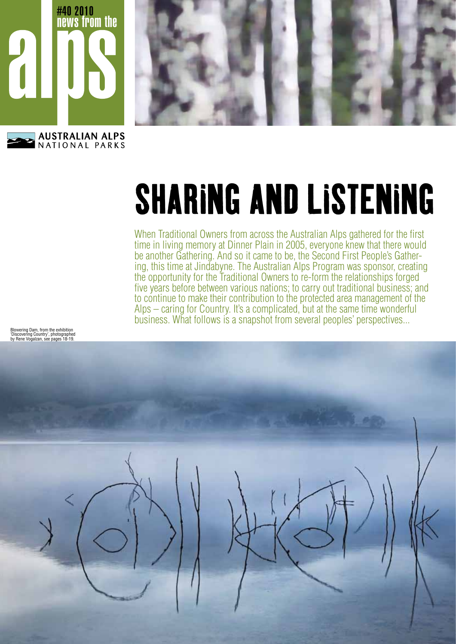



When Traditional Owners from across the Australian Alps gathered for the first time in living memory at Dinner Plain in 2005, everyone knew that there would be another Gathering. And so it came to be, the Second First People's Gathering, this time at Jindabyne. The Australian Alps Program was sponsor, creating the opportunity for the Traditional Owners to re-form the relationships forged five years before between various nations; to carry out traditional business; and to continue to make their contribution to the protected area management of the Alps – caring for Country. It's a complicated, but at the same time wonderful business. What follows is a snapshot from several peoples' perspectives...

Blowering Dam, from the exhibition 'Discovering Country', photographed by Rene Vogalzan, see pages 18-19.

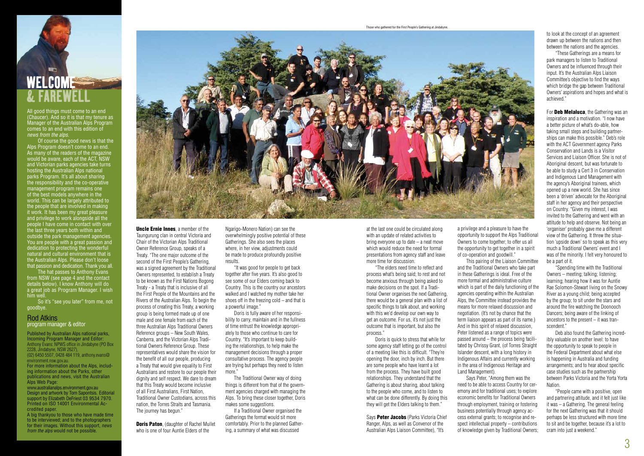All good things must come to an end (Chaucer). And so it is that my tenure as Manager of the Australian Alps Program comes to an end with this edition of *news from the alps*.

 Of course the good news is that the Alps Program doesn't come to an end. As many of the readers of the magazine would be aware, each of the ACT, NSW and Victorian parks agencies take turns hosting the Australian Alps national parks Program. It's all about sharing the responsibility and the co-operative management program remains one of the best models anywhere in the world. This can be largely attributed to the people that are involved in making it work. It has been my great pleasure and privilege to work alongside all the people I have come in contact with over the last three years both within and outside the park management agencies. You are people with a great passion and dedication to protecting the wonderful natural and cultural environment that is the Australian Alps. Please don't loose that passion and dedication. Thank you all.

 The hat passes to Anthony Evans from NSW (see page 4 and the contact details below). I know Anthony will do a great job as Program Manager. I wish him well.

 So it's "see you later" from me, not goodbye.

#### Rod Atkins program manager & editor

Published by Australian Alps national parks, Incoming Program Manager and Editor: Anthony Evans: NPWS office in Jindabyne (PO Box 2228, Jindabyne, NSW 2627), (02) 6450 5507, 0428 484 119, anthony.evans@ environment.nsw.gov.au.

For more information about the Alps, including information about the Parks, other publications and news, visit the Australian Alps Web Page:

> **Doris Paton**. (daughter of Rachel Mullet who is one of four Auntie Elders of the

www.australianalps.environment.gov.au Design and artwork by Tom Sapontsis. Editorial support by Elizabeth DeFriest 03 9534 7970. Printed on ISO 14001 Environmental Accredited paper.

A big thankyou to those who have made time to be interviewed; and to the photographers for their images. Without this support, *news from the alps* would not be possible.



Uncle Ernie Innes, a member of the Taungurung clan in central Victoria and Chair of the Victorian Alps Traditional Owner Reference Group, speaks of a Treaty. "The one major outcome of the second of the First People's Gathering, was a signed agreement by the Traditional Owners represented, to establish a Treaty to be known as the First Nations Bogong Treaty - a Treaty that is inclusive of all the First People of the Mountains and the Rivers of the Australian Alps. To begin the process of creating this Treaty, a working group is being formed made up of one male and one female from each of the three Australian Alps Traditional Owners Reference groups – New South Wales, Canberra, and the Victorian Alps Traditional Owners Reference Group. These representatives would share the vision for the benefit of all our people, producing a Treaty that would give equality to First Australians and restore to our people their dignity and self respect. We dare to dream that this Treaty would become inclusive of all First Australians, First Nation, Traditional Owner Custodians, across this nation, the Torres Straits and Tasmania. The journey has begun."

The Traditional Owner way of doing things is different from that of the government agencies charged with managing the Alps. To bring these closer together, Doris makes some suggestions.

For **Deb Melaluca**, the Gathering was an inspiration and a motivation. "I now have a better picture of what's do-able, how taking small steps and building partnerships can make this possible." Deb's role with the ACT Government agency Parks Conservation and Lands is a Visitor Services and Liaison Officer. She is not of Aboriginal descent, but was fortunate to be able to study a Cert 3 in Conservation and Indigenous Land Management with the agency's Aboriginal trainees, which opened up a new world. She has since been a 'driven' advocate for the Aboriginal staff in her agency and their perspective on Country. "Given my interest, I was invited to the Gathering and went with an attitude to help and observe. Not being an 'organiser' probably gave me a different view of the Gathering. It threw the situation 'upside down' so to speak as this very much a Traditional Owners' event and I was of the minority. I felt very honoured to be a part of it.

Ngarigo-Monero Nation) can see the overwhelmingly positive potential of these Gatherings. She also sees the places where, in her view, adjustments could be made to produce profoundly positive results.

"It was good for people to get back together after five years. It's also good to see some of our Elders coming back to Country. This is the country our ancestors walked and I watched my mother take her shoes off in the freezing cold – and that is a powerful image."

Doris is fully aware of her responsibility to carry, maintain and in the fullness of time entrust the knowledge appropriately to those who continue to care for Country. "It's important to keep building the relationships, to help make the management decisions through a proper consultative process. The agency people are trying but perhaps they need to listen more."

> Says Peter Jacobs (Parks Victoria Chief Ranger, Alps, as well as Convenor of the Australian Alps Liaison Committee), "It's

If a Traditional Owner organised the Gatherings the format would sit more comfortably. Prior to the planned Gathering, a summary of what was discussed

to look at the concept of an agreement drawn up between the nations and then between the nations and the agencies.

## **WELCOME<sup>®</sup>** & FAREWELL

 "These Gatherings are a means for park managers to listen to Traditional Owners and be influenced through their input. It's the Australian Alps Liaison Committee's objective to find the ways which bridge the gap between Traditional Owners' aspirations and hopes and what is achieved."

"Spending time with the Traditional Owners – meeting; talking; listening; learning; hearing how it was for Auntie Rae Solomon-Stewart living on the Snowy River as a young child; being accepted by the group; to sit under the stars and around the fire watching the Doonooch Dancers; being aware of the linking of ancestors to the present – it was transcendent."

Deb also found the Gathering incredibly valuable on another level: to have the opportunity to speak to people in the Federal Department about what else is happening in Australia and funding arrangements; and to hear about specific case studies such as the partnership between Parks Victoria and the Yorta Yorta Nation.

"People came with a positive, open and partnering attitude, and it felt just like it was – a Gathering. The general feeling for the next Gathering was that it should perhaps be less structured with more time to sit and be together, because it's a lot to cram into just a weekend."

at the last one could be circulated along with an update of related activities to bring everyone up to date – a neat move which would reduce the need for formal presentations from agency staff and leave more time for discussion.

"The elders need time to reflect and process what's being said; to rest and not become anxious through being asked to make decisions on the spot. If a Traditional Owner organises the next Gathering, there would be a general plan with a list of specific things to talk about, and working with this we'd develop our own way to get an outcome. For us, it's not just the outcome that is important, but also the process."

Doris is quick to stress that while for some agency staff letting go of the control of a meeting like this is difficult. "They're opening the door, inch by inch. But there are some people who have learnt a lot from the process. They have built good relationships. They understand that the Gathering is about sharing, about talking to the people who come, and to listen to what can be done differently. By doing this they will get the Elders talking to them."

a privilege and a pleasure to have the opportunity to support the Alps Traditional Owners to come together; to offer us all the opportunity to get together in a spirit of co-operation and goodwill."

 This pairing of the Liaison Committee and the Traditional Owners who take part in these Gatherings is ideal. Free of the more formal and administrative culture which is part of the daily functioning of the agencies operating within the Australian Alps, the Committee instead provides the means for more relaxed discussion and negotiation. (It's not by chance that the term liaison appears as part of its name.) And in this spirit of relaxed discussion, Peter listened as a range of topics were passed around – the process being facilitated by Chrissy Grant, (of Torres Straight Islander descent, with a long history in Indigenous Affairs and currently working in the area of Indigenous Heritage and Land Management).

 Says Peter, "Among them was the need to be able to access Country for ceremony and for traditional uses; to explore economic benefits for Traditional Owners through employment, training or fostering business potentially through agency access external grants; to recognise and respect intellectual property – contributions of knowledge given by Traditional Owners;

Those who gathered for the First People's Gathering at Jindabyne.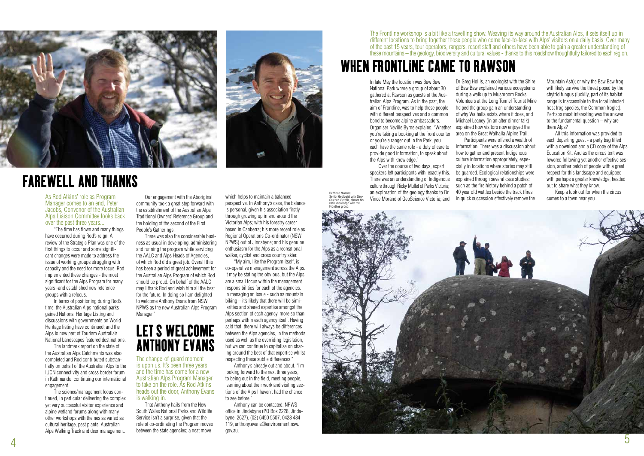The change-of-guard moment is upon us. It's been three years and the time has come for a new Australian Alps Program Manager to take on the role. As Rod Atkins heads out the door, Anthony Evans is walking in.

That Anthony hails from the New South Wales National Parks and Wildlife Service isn't a surprise, given that the role of co-ordinating the Program moves between the state agencies; a neat move

which helps to maintain a balanced perspective. In Anthony's case, the balance is personal, given his association firstly through growing up in and around the Victorian Alps; with his forestry career based in Canberra; his more recent role as Regional Operations Co-ordinator (NSW NPWS) out of Jindabyne; and his genuine enthusiasm for the Alps as a recreational walker, cyclist and cross country skier.

 "My aim, like the Program itself, is co-operative management across the Alps. It may be stating the obvious, but the Alps are a small focus within the management responsibilities for each of the agencies. In managing an issue - such as mountain biking – it's likely that there will be similarities and shared expertise amongst the Alps section of each agency, more so than perhaps within each agency itself. Having said that, there will always be differences between the Alps agencies, in the methods used as well as the overriding legislation, but we can continue to capitalise on sharing around the best of that expertise whilst respecting these subtle differences."

 Anthony's already out and about. "I'm looking forward to the next three years, to being out in the field, meeting people, learning about their work and visiting sections of the Alps I haven't had the chance to see before."

 Anthony can be contacted: NPWS office in Jindabyne (PO Box 2228, Jindabyne, 2627), (02) 6450 5507, 0428 484 119, anthony.evans@environment.nsw. gov.au.

As Rod Atkins' role as Program Manager comes to an end, Peter Jacobs, Convenor of the Australian Alps Liaison Committee looks back over the past three years...

## LET S WELCOME ANTHONY EVANS

 "The time has flown and many things have occurred during Rod's reign. A review of the Strategic Plan was one of the first things to occur and some significant changes were made to address the issue of working groups struggling with capacity and the need for more focus. Rod implemented these changes - the most significant for the Alps Program for many years -and established new reference groups with a refocus.

 In terms of positioning during Rod's time: the Australian Alps national parks gained National Heritage Listing and discussions with governments on World Heritage listing have continued; and the Alps is now part of Tourism Australia's National Landscapes featured destinations.

 The landmark report on the state of the Australian Alps Catchments was also completed and Rod contributed substantially on behalf of the Australian Alps to the IUCN connectivity and cross border forum in Kathmandu, continuing our international engagement.

 The science/management focus continued, in particular delivering the complex yet very successful visitor experience and alpine wetland forums along with many other workshops with themes as varied as cultural heritage, pest plants, Australian Alps Walking Track and deer management.

 Our engagement with the Aboriginal community took a great step forward with the establishment of the Australian Alps Traditional Owners' Reference Group and the holding of the second of the First People's Gatherings.



 There was also the considerable business as usual in developing, administering and running the program while servicing the AALC and Alps Heads of Agencies, of which Rod did a great job. Overall this has been a period of great achievement for the Australian Alps Program of which Rod should be proud. On behalf of the AALC may I thank Rod and wish him all the best for the future. In doing so I am delighted to welcome Anthony Evans from NSW NPWS as the new Australian Alps Program Manager."



## FAREWELL AND THANKS

Dr Greg Hollis, an ecologist with the Shire of Baw Baw explained various ecosystems during a walk up to Mushroom Rocks. Volunteers at the Long Tunnel Tourist Mine helped the group gain an understanding of why Walhalla exists where it does, and Michael Leaney (in an after dinner talk) explained how visitors now enjoyed the area on the Great Walhalla Alpine Trail. Participants were offered a wealth of information. There was a discussion about how to gather and present Indigenous culture information appropriately, especially in locations where stories may still be guarded. Ecological relationships were explained through several case studies: such as the fire history behind a patch of 40 year old wattles beside the track (fires in quick succession effectively remove the



Mountain Ash); or why the Baw Baw frog will likely survive the threat posed by the chytrid fungus (luckily, part of its habitat range is inaccessible to the local infected host frog species, the Common froglet). Perhaps most interesting was the answer to the fundamental question – why are there Alps?

 All this information was provided to each departing guest - a party bag filled with a download and a CD copy of the Alps Education Kit. And as the circus tent was lowered following yet another effective session, another batch of people with a great respect for this landscape and equipped with perhaps a greater knowledge, headed out to share what they know.

 Keep a look out for when the circus comes to a town near you...

In late May the location was Baw Baw National Park where a group of about 30 gathered at Rawson as guests of the Australian Alps Program. As in the past, the aim of Frontline, was to help these people with different perspectives and a common bond to become alpine ambassadors. Organiser Neville Byrne explains. "Whether you're taking a booking at the front counter or you're a ranger out in the Park, you each have the same role - a duty of care to provide good information, to speak about the Alps with knowledge."

 Over the course of two days, expert speakers left participants with exactly this. There was an understanding of Indigenous culture through Ricky Mullet of Parks Victoria; an exploration of the geology thanks to Dr Vince Morand of GeoScience Victoria; and

## WHEN FRONTLINE CAME TO RAWSON

The Frontline workshop is a bit like a travelling show. Weaving its way around the Australian Alps, it sets itself up in different locations to bring together those people who come face-to-face with Alps' visitors on a daily basis. Over many of the past 15 years, tour operators, rangers, resort staff and others have been able to gain a greater understanding of these mountains – the geology, biodiversity and cultural values - thanks to this roadshow thoughtfully tailored to each region.

Dr Vince Morand,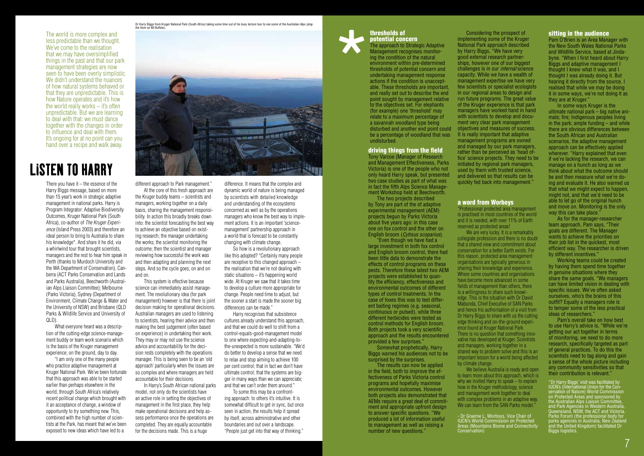The approach to Strategic Adaptive Management recognises monitoring the condition of the natural environment within pre-determined thresholds of potential concern and undertaking management response actions if the condition is unacceptable. These thresholds are important, and really set out to describe the end point sought by management relative to the objectives set. For elephants (for example) one 'threshold' may relate to a maximum percentage of a savannah woodland type being be a percentage of woodland that was It is really important that adaptive undisturbed.

> \*Dr Harry Biggs' visit was facilitated by IUCN's (International Union for the Conservation of Nature) World Commission on Protected Areas and sponsored by the Australian Alps Liaison Committee, and Park Agencies in Western Australia, Queensland, NSW, the ACT and Victoria. Parks Forum (the professional body for parks agencies in Australia, New Zealand and the United Kingdom) facilitated Dr Biggs logistics.

#### driving things from the field

Tony Varcoe (Manager of Research and Management Effectiveness, Parks Victoria) is one of the people who not only heard Harry speak, but presented two case studies as part of what was in fact the fifth Alps Science Management Workshop held at Beechworth.

 The two projects described by Tony are part of the of adaptive experimental management (AEM) projects begun by Parks Victoria about five years ago: in this case one on fox control and the other on English broom (*Cytisus scoparius*).

 "Even though we have had a large investment in both fox control and English broom control, there had been little data to demonstrate the effects of control programs on these pests. Therefore these latest two AEM projects were established to quantify the efficiency, effectiveness and environmental outcomes of different types of control treatments. In the case of foxes this was to test different baiting regimes (e.g. seasonal, continuous or pulsed), while three different herbicides were tested as control methods for English broom. Both projects took a very scientific approach and the results encountered provided a few surprises."

 In some ways Kruger is the ultimate national park – big native animals; fire; Indigenous peoples living in the park; ample funding – and while there are obvious differences between the South African and Australian scenarios, the adaptive management approach can be effectively applied wherever. "Harry explained that even if we're lacking the research, we can manage on a hunch as long as we think about what the outcome should be and then measure what we're doing and evaluate it. He also warned us that what we might expect to happen, might not, and that we'd need to be able to let go of the original hunch and move on. Monitoring is the only way this can take place."

disturbed and another end point could objectives and measures of success. Considering the prospect of implementing some of the Kruger National Park approach described by Harry Biggs, "We have very good external research partnerships, however one of our biggest challenges is in our *internal* science capacity. While we have a wealth of management expertise we have very few scientists or specialist ecologists in our regional areas to design and run future programs. The great value of the Kruger experience is that park managers have worked hand in hand with scientists to develop and document very clear park management management programs are owned and managed by our park managers, rather than be perceived as 'head office' science projects. They need to be initiated by regional park managers, used by them with trusted science, and delivered so that results can be quickly fed back into management."

 Somewhat prophetically, Harry Biggs warned his audiences not to be surprised by the surprises.

 As for the manager-researcher team approach, Pam says, "Their goals are different. The Manager wants to achieve the priorities on their job list in the quickest, most efficient way. The researcher is driven by different incentives."

 The results can now be applied in the field, both to improve the effectiveness of Parks Victoria control programs and hopefully maximise environmental outcomes. However both projects also demonstrated that AEMs require a great deal of commitment and appropriate upfront design to answer specific questions. "We produced a lot of information useful to management as well as raising a number of new questions."

#### sitting in the audience

Pam O'Brien is an Area Manager with the New South Wales National Parks and Wildlife Service, based at Jindabyne. "When I first heard about Harry Biggs and adaptive management I thought I knew what it was, and I thought I was already doing it. But hearing it directly from the source, I realised that while we may be doing it in some ways, we're not doing it as they are at Kruger."

There you have it  $-$  the essence of the Harry Biggs message, based on more than 15 year's work in strategic adaptive management in national parks. Harry is Program Integrator: Adaptive Biodiversity Outcomes, Kruger National Park (South Africa), co-author of *The Kruger Experience* (Island Press 2003) and therefore an ideal person to bring to Australia to share his knowledge\*. And share it he did, via a whirlwind tour that brought scientists, managers and the rest to hear him speak in Perth (thanks to Murdoch University and the WA Department of Conservation), Canberra (ACT Parks Conservation and Lands and Parks Australia), Beechworth (Australian Alps Liaison Committee); Melbourne (Parks Victoria), Sydney (Department of Environment, Climate Change & Water and the University of NSW) and Brisbane (QLD Parks & Wildlife Service and University of QLD).

 Working teams could be created by having them spend time together in genuine situations where they share the same goals. "We managers can have limited vision in dealing with specific issues. We've often asked ourselves, who's the brains of this outfit? Equally a managers role is to temper some of the less practical ideas of researchers."

 Pam's overall take on how best to use Harry's advice is, "While we're getting our act together in terms of monitoring, we need to do more research, specifically targeted as part of general practices. To do this the scientists need to tag along and gain a sense of the whole picture including any community sensitivities so that their contribution is relevant."

We are very lucky. It is a remarkably collegiate profession and there is no doubt that a shared view and commitment about conservation for a better Earth exists. For this reason, protected area management organisations are typically generous in sharing their knowledge and experience. Where some countries and organisations have become more advanced in some fields of management than others, there is a willingness to share such knowledge. This is the situation with Dr David Mabunda, Chief Executive of SAN Parks and hence his authorisation of a visit from Dr Harry Biggs to share with us the cutting edge thinking and on-the-ground experience found at Kruger National Park. There is no question that something innovative has developed at Kruger. Scientists and managers, working together in a shared way to problem solve and this is an important lesson for a world being affected by climate change.

We believe Australia is ready and open to learn more about this approach, which is why we invited Harry to speak – to explain how in the Kruger methodology, science and management work together to deal with complex problems in an adaptive way. We can learn from the SAN Parks model."

- Dr Graeme L. Worboys, Vice Chair of IUCN's World Commission on Protected Intains Biome and Connectivity

difference. It means that the complex and dynamic world of nature is being managed by scientists with detailed knowledge and understanding of the ecosystems concerned as well as by the operations managers who know the best way to implement actions. It is an important 'sciencemanagement' partnership approach in a world that is forecast to be constantly changing with climate change.

### thresholds of potential concern \*

 So how is a revolutionary approach like this adopted? "Certainly many people are receptive to this changed approach – the realisation that we're not dealing with static situations – it's happening world wide. At Kruger we saw that it takes time to develop a culture more appropriate for change. People need time to adjust, but the sooner a start is made the sooner big differences can be made."

 Harry recognises that subsistence cultures already understand this approach, and that we could do well to shift from a control-equals-good-management model to one where expecting-and-adapting-tothe-unexpected is more sustainable. "We'd do better to develop a sense that we need to relax and stop aiming to achieve 100 per cent control; that in fact we don't have ultimate control; that the systems are bigger in many ways than we can appreciate; and that we can't order them around."

 To some this may be a confronting approach: to others it's intuitive. It is somewhat difficult to get in sync, but once seen in action, the results help it spread by itself, across administrative and other boundaries and out over a landscape. "People just get into that way of thinking."

different approach to Park management."

 At the core of this fresh approach are the Kruger buddy teams – scientists and managers, working together on a daily basis, sharing the management responsibility. In action this broadly breaks down into: the scientist forecasting the best way to achieve an objective based on existing research; the manager undertaking the works; the scientist monitoring the outcome; then the scientist and manager reviewing how successful the work was and then adapting and planning the next steps. And so the cycle goes, on and on and on.

 This system is effective because science can immediately assist management. The revolutionary idea (for park management) however is that there is joint decision making for operational decisions. Australian managers are used to listening to scientists, hearing their advice and then making the best judgement (often based on experience) in undertaking their work. They may or may not use the science advice and accountability for the decision rests completely with the operations manager. This is being seen to be an 'old approach' particularly when the issues are so complex and where managers are held accountable for their decisions.

 In Harry's South African national parks model, not only do the scientists have an active role in setting the objectives of management in the first place, they help make operational decisions and help assess performance once the operations are completed. They are equally accountable for the decisions made. This is a huge

 What everyone heard was a description of the cutting-edge science-management buddy or team work scenario which is the basis of the Kruger management experience; on the ground, day to day.

 "I am only one of the many people who practice adaptive management at Kruger National Park. We've been fortunate that this approach was able to be started earlier than perhaps elsewhere in the world, through South Africa's relatively recent political change which brought with it an acceptance of change, a window of opportunity to try something new. This, combined with the high number of scientists at the Park, has meant that we've been exposed to new ideas which have led to a

#### a word from Worboys

"Professional protected area management is practised in most countries of the world and it is needed, with over 11% of Earth

reserved as protected areas!

Conservation)

## LISTEN TO HARRY

The world is more complex and less predictable than we thought. We've come to the realisation that we may have oversimplified things in the past and that our park management strategies are now seen to have been overly simplistic. We didn't understand the nuances of how natural systems behaved or that they are unpredictable. This is how Nature operates and it's how the world really works  $-$  it's often unpredictable. But we are learning to deal with that: we must dance together with the changes in order to influence and deal with them. It's ongoing for at no point can you hand over a recipe and walk away.

#### Dr Harry Biggs from Kruger National Park (South Africa) taking some time out of his busy lecture tour to see some of the Australian Alps (atop the Horn on Mt Buffalo).

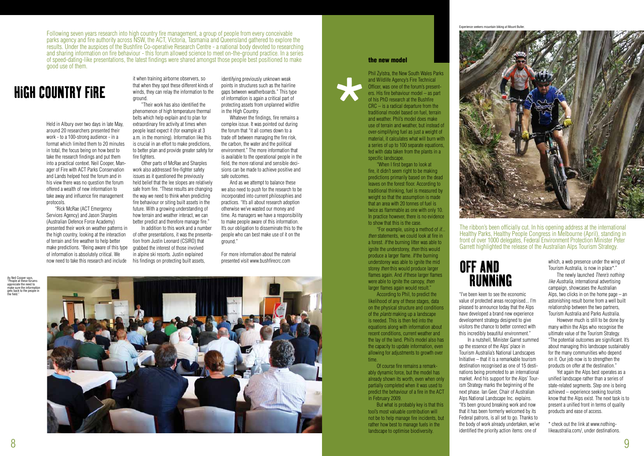"I've been keen to see the economic value of protected areas recognised... I'm pleased to announce today that the Alps have developed a brand new experience development strategy designed to give visitors the chance to better connect with this incredibly beautiful environment." In a nutshell, Minister Garret summed up the essence of the Alps' place in Tourism Australia's National Landscapes Initiative – that it is a remarkable tourism destination recognised as one of 15 destinations being promoted to an international market. And his support for the Alps' Tourism Strategy marks the beginning of the next phase. Ian Geer, Chair of Australian Alps National Landscape Inc. explains. "It's been ground breaking work and now that it has been formerly welcomed by its Federal patrons, is all set to go. Thanks to the body of work already undertaken, we've identified the priority action items: one of

which, a web presence under the wing of Tourism Australia, is now in place\*."

 The newly launched *There's nothing like Australia,* international advertising campaign, showcases the Australian Alps, two clicks in on the home page – an astonishing result borne from a well built relationship between the two partners, Tourism Australia and Parks Australia.

 However much is still to be done by many within the Alps who recognise the ultimate value of the Tourism Strategy. "The potential outcomes are significant. It's about managing this landscape sustainably for the many communities who depend on it. Our job now is to strengthen the products on offer at the destination."

phenomenon of high temperature thermal belts which help explain and to plan for extraordinary fire activity at times when people least expect it (for example at 3 a.m. in the morning). Information like this is crucial in an effort to make predictions, to better plan and provide greater safety for fire fighters.

> Yet again the Alps best operates as a unified landscape rather than a series of state-related segments. Step one is being achieved – experience seeking tourists know that the Alps exist. The next task is to present a unified front in terms of quality products and ease of access.

\* check out the link at www.nothinglikeaustralia.com/, under destinations.

OFF AND RUNNING

The ribbon's been officially cut. In his opening address at the international Healthy Parks, Healthy People Congress in Melbourne (April), standing in front of over 1000 delegates, Federal Environment Protection Minister Peter Garrett highlighted the release of the Australian Alps Tourism Strategy.

identifying previously unknown weak points in structures such as the hairline gaps between weatherboards." This type of information is again a critical part of protecting assets from unplanned wildfire in the High Country.

Held in Albury over two days in late May, around 20 researchers presented their work - to a 100-strong audience - in a format which limited them to 20 minutes in total, the focus being on how best to take the research findings and put them into a practical context. Neil Cooper, Manager of Fire with ACT Parks Conservation and Lands helped host the forum and in his view there was no question the forum offered a wealth of new information to take away and influence fire management protocols.

 "Rick McRae (ACT Emergency Services Agency) and Jason Sharples (Australian Defence Force Academy) presented their work on weather patterns in the high country, looking at the interaction of terrain and fire weather to help better make predictions. "Being aware of this type of information is absolutely critical. We now need to take this research and include

it when training airborne observers, so that when they spot these different kinds of winds, they can relay the information to the ground. "Their work has also identified the

> "For example, using a method of *if... then* statements, we could look at fire in a forest. *If* the burning litter was able to ignite the understorey, *then* this would produce a larger flame. *If* the burning understorey was able to ignite the mid storey *then* this would produce larger flames again. And *if* these larger flames were able to ignite the canopy, *then* larger flames again would result."

 Other parts of McRae and Sharples work also addressed fire-fighter safety issues as it questioned the previously held belief that the lee slopes are relatively safe from fire. "These results are changing the way we need to think when predicting fire behaviour or siting built assets in the future. With a growing understanding of how terrain and weather interact, we can better predict and therefore manage fire." In addition to this work and a number



of other presentations, it was the presentation from Justin Leonard (CSIRO) that grabbed the interest of those involved in alpine ski resorts. Justin explained his findings on protecting built assets,

 Whatever the findings, fire remains a complex issue. It was pointed out during the forum that "it all comes down to a trade off between managing the fire risk, the carbon, the water and the political environment." The more information that is available to the operational people in the field, the more rational and sensible decisions can be made to achieve positive and safe outcomes.

 And as we attempt to balance these we also need to push for the research to be incorporated into current philosophies and practices. "It's all about research adoption otherwise we've wasted our money and time. As managers we have a responsibility to make people aware of this information. It's our obligation to disseminate this to the people who can best make use of it on the ground."

For more information about the material presented visit www.bushfirecrc.com

## HIGH COUNTRY FIRE

Following seven years research into high country fire management, a group of people from every conceivable parks agency and fire authority across NSW, the ACT, Victoria, Tasmania and Queensland gathered to explore the results. Under the auspices of the Bushfire Co-operative Research Centre - a national body devoted to researching and sharing information on fire behaviour - this forum allowed science to meet on-the-ground practice. In a series of speed-dating-like presentations, the latest findings were shared amongst those people best positioned to make good use of them.

#### the new model

Phil Zylstra, the New South Wales Parks and Wildlife Agency's Fire Technical Officer, was one of the forum's presenters. His fire behaviour model – as part of his PhD research at the Bushfire CRC – is a radical departure from the traditional model based on fuel, terrain and weather. Phil's model does make use of terrain and weather, but instead of over-simplifying fuel as just a weight of material, it calculates what will burn with a series of up to 100 separate equations, fed with data taken from the plants in a specific landscape.

 "When I first began to look at fire, it didn't seem right to be making predictions primarily based on the dead leaves on the forest floor. According to traditional thinking, fuel is measured by weight so that the assumption is made that an area with 20 tonnes of fuel is twice as flammable as one with only 10. In practice however, there is no evidence to show that this is the case.

 According to Phil, to predict the likelihood of any of these stages, data on the physical structure and conditions of the *plants* making up a landscape is needed. This is then fed into the equations along with information about recent conditions, current weather and the lay of the land. Phil's model also has the capacity to update information, even allowing for adjustments to growth over time.

 Of course fire remains a remarkably dynamic force, but the model has already shown its worth, even when only partially completed when it was used to predict the behaviour of a fire in the ACT in February 2009.

 But what is probably key is that this tool's most valuable contribution will not be to help manage fire incidents, but rather how best to manage fuels in the landscape to optimise biodiversity.

\*

Experience seekers mountain biking at Mount Buller.

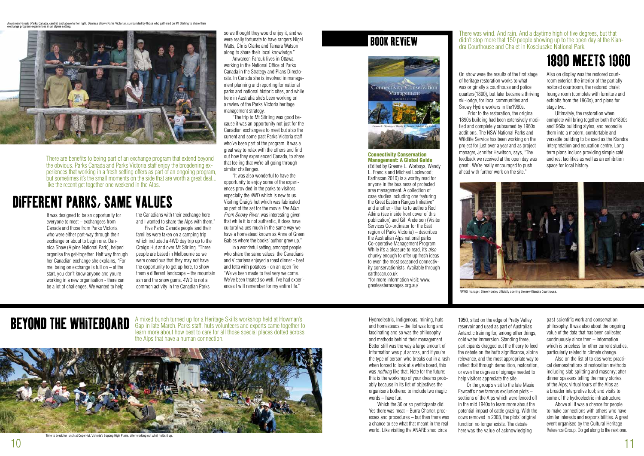A mixed bunch turned up for a Heritage Skills workshop held at Howman's Gap in late March. Parks staff, huts volunteers and experts came together to learn more about how best to care for all those special places dotted across the Alps that have a human connection.

> Which the 30 or so participants did. Yes there was meat – Burra Charter, processes and procedures – but then there was a chance to see what that meant in the real world. Like visiting the ANARE shed circa

> Hydroelectric, Indigenous, mining, huts and homesteads – the list was long and fascinating and so was the philosophy and methods behind their management. Better still was the way a large amount of information was put across, and if you're the type of person who breaks out in a rash when forced to look at a white board, this was *nothing* like that. Note for the future: this is the workshop of your dreams probably because in its list of objectives the organisers bothered to include two magic words – have fun.

1950, sited on the edge of Pretty Valley reservoir and used as part of Australia's Antarctic training for, among other things, cold water immersion. Standing there, participants dragged out the theory to feed the debate on the hut's significance, alpine relevance, and the most appropriate way to reflect that through demolition, restoration, or even the degrees of signage needed to help visitors appreciate the site. Or the group's visit to the late Masie Fawcett's now famous exclusion plots – sections of the Alps which were fenced off in the mid 1940s to learn more about the potential impact of cattle grazing. With the cows removed in 2003, the plots' original

function no longer exists. The debate here was the value of acknowledging past scientific work and conservation philosophy. It was also about the ongoing value of the data that has been collected continuously since then – information which is priceless for other current studies, particularly related to climate change.

 Also on the list of to dos were: practical demonstrations of restoration methods including slab splitting and masonry; after dinner speakers telling the many stories of the Alps; virtual tours of the Alps as a broader interpretive tool; and visits to some of the hydroelectric infrastructure.

 Above all it was a chance for people to make connections with others who have similar interests and responsibilities. A great event organised by the Cultural Heritage Reference Group. Do get along to the next one.

## BEYOND THE WHITEBOARD

There are benefits to being part of an exchange program that extend beyond the obvious. Parks Canada and Parks Victoria staff enjoy the broadening experiences that working in a fresh setting offers as part of an ongoing program, but sometimes it's the small moments on the side that are worth a great deal... like the recent get together one weekend in the Alps.

It was designed to be an opportunity for everyone to meet – exchangees from Canada and those from Parks Victoria who were either part-way through their exchange or about to begin one. Dannica Shaw (Alpine National Park), helped organise the get-together. Half way through her Canadian exchange she explains, "For me, being on exchange is full on  $-$  at the start, you don't know anyone and you're working in a new organisation - there can be a lot of challenges. We wanted to help

Also on display was the restored courtroom exterior, the interior of the partially restored courtroom, the restored chalet lounge room (complete with furniture and exhibits from the 1960s), and plans for stage two.

the Canadians with their exchange here and I wanted to share the Alps with them." Five Parks Canada people and their

families were taken on a camping trip which included a 4WD day trip up to the Craig's Hut and over Mt Stirling. "Three people are based in Melbourne so we were conscious that they may not have the opportunity to get up here, to show them a different landscape – the mountain ash and the snow gums. 4WD is not a common activity in the Canadian Parks

so we thought they would enjoy it, and we were really fortunate to have rangers Nigel Watts, Chris Clarke and Tamara Watson along to share their local knowledge."

 Anwareen Farouk lives in Ottawa, working in the National Office of Parks Canada in the Strategy and Plans Directorate. In Canada she is involved in management planning and reporting for national parks and national historic sites, and while here in Australia she's been working on a review of the Parks Victoria heritage management strategy.

 "The trip to Mt Stirling was good because it was an opportunity not just for the Canadian exchangees to meet but also the current and some past Parks Victoria staff who've been part of the program. It was a great way to relax with the others and find out how they experienced Canada, to share that feeling that we're all going through similar challenges.

 "It was also wonderful to have the opportunity to enjoy some of the experiences provided in the parks to visitors, especially the 4WD which is new to us. Visiting Craig's hut which was fabricated as part of the set for the movie *The Man From Snowy River*, was interesting given that while it is not authentic, it does have cultural values much in the same way we have a homestead known as Anne of Green Gables where the books' author grew up."

In a wonderful setting, amongst people who share the same values, the Canadians and Victorians enjoyed a roast dinner - beef and fetta with potatoes - on an open fire. "We've been made to feel very welcome. We've been treated so well. I've had experiences I will remember for my entire life."

## DIFFERENT PARKS, SAME VALUES

On show were the results of the first stage of heritage restoration works to what was originally a courthouse and police quarters(1890), but later became a thriving ski-lodge, for local communities and Snowy Hydro workers in the1960s. Prior to the restoration, the original 1890s building had been extensively modified and completely subsumed by 1960s additions. The NSW National Parks and Wildlife Service has been working on the project for just over a year and as project manager, Jennifer Hewitson, says, "The feedback we received at the open day was great . We're really encouraged to push ahead with further work on the site."

 Ultimately, the restoration when complete will bring together both the1890s and1960s building styles, and reconcile them into a modern, comfortable and versatile building to be used as the Kiandra interpretation and education centre. Long term plans include providing simple café and rest facilities as well as an exhibition space for local history.

## 1890 MEETS 1960

#### There was wind. And rain. And a daytime high of five degrees, but that didn't stop more that 150 people showing up to the open day at the Kiandra Courthouse and Chalet in Kosciuszko National Park.

#### Connectivity Conservation Management: A Global Guide (Edited by Graeme L. Worboys, Wendy L. Francis and Michael Lockwood; Earthscan 2010) is a worthy read for anyone in the business of protected area management. A collection of case studies including one featuring the Great Eastern Ranges Initiative\* and another - thanks to authors Rod Atkins (see inside front cover of this publication) and Gill Anderson (Visitor Services Co-ordinator for the East region of Parks Victoria) – describes the Australian Alps national parks Co-operative Management Program. While it's a pleasure to read, it's *also* chunky enough to offer up fresh ideas to even the most seasoned connectivity conservationists. Available through earthscan.co.uk \*for more information visit: www.

greateasternranges.org.au/

## BOOK REVIEW





Time to break for lunch at Cope Hut, Victoria's Bogong High Plains, after working out what holds it up.

Anwareen Farouk (Parks Canada, centre) and above to her right, Dannica Shaw (Parks Victoria), surrounded by those who gathered on Mt Stirling to share their exchange program experiences in an alpine setting.





NPWS manager, Steve Horsley officially opening the new Kiandra Courthouse.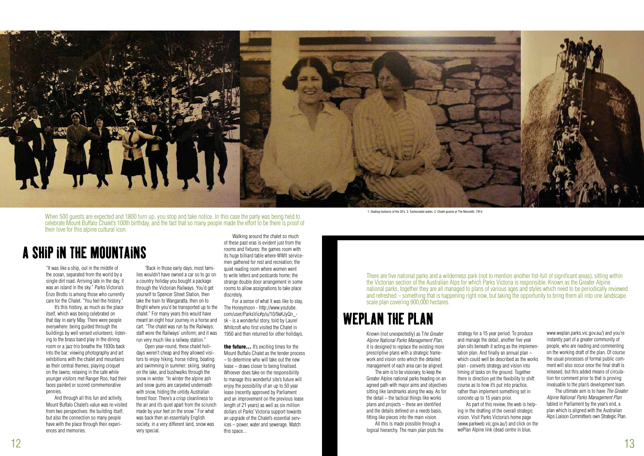"It was like a ship, out in the middle of the ocean, separated from the world by a single dirt road. Arriving late in the day, it was an island in the sky." Parks Victoria's Enzo Brotto is among those who currently care for the Chalet. "You feel the history."

It's this history, as much as the place itself, which was being celebrated on that day in early May. There were people everywhere: being guided through the buildings by well versed volunteers; listening to the brass band play in the dining room or a jazz trio breathe the 1930s back into the bar; viewing photography and art exhibitions with the chalet and mountains as their central themes; playing croquet on the lawns; relaxing in the cafe while younger visitors met Ranger Roo, had their faces painted or scored commemorative pennies.

 And through all this fun and activity, Mount Buffalo Chalet's value was re-visited from two perspectives: the building itself, but also the connection so many people have with the place through their experiences and memories.

 "Back in those early days, most families wouldn't have owned a car so to go on a country holiday you bought a package through the Victorian Railways. You'd get yourself to Spencer Street Station, then take the train to Wangaratta, then on to Bright where you'd be transported up to the chalet." For many years this would have meant an eight hour journey in a horse and cart. "The chalet was run by the Railways; staff wore the Railways' uniform; and it was run very much like a railway station."

> the future... It's exciting times for the Mount Buffalo Chalet as the tender process – to determine who will take out the new lease – draws closer to being finalised. Whoever does take on the responsibility to manage this wonderful site's future will enjoy the possibility of an up to 50 year lease (recently approved by Parliament and an improvement on the previous lease length of 21 years) as well as six million dollars of Parks' Victoria support towards an upgrade of the Chalet's essential services – power, water and sewerage. Watch this space...

 Open year-round, these chalet holidays weren't cheap and they allowed visitors to enjoy hiking, horse riding, boating and swimming in summer; skiing, skating on the lake, and bushwalks through the snow in winter. "In winter the alpine ash and snow gums are carpeted underneath with snow, hiding the untidy Australian forest floor. There's a crisp cleanliness to the air and it's quiet apart from the scrunch made by your feet on the snow." For what was back then an essentially English society, in a very different land, snow was

very special.

 Walking around the chalet so much of these past eras is evident just from the rooms and fixtures: the games room with its huge billiard table where WWll servicemen gathered for rest and recreation; the quiet reading room where women went to write letters and postcards home; the strange double door arrangement in some rooms to allow assignations to take place discretely.

 For a sense of what it was like to stay, The Honeymoon - http://www.youtube. com/user/ParksVic#p/u/10/9aKJyQn\_ sk - is a wonderful story, told by Laurel Whitcroft who first visited the Chalet in 1950 and then returned for other holidays.

There are five national parks and a wilderness park (not to mention another fist-full of significant areas), sitting within the Victorian section of the Australian Alps for which Parks Victoria is responsible. Known as the Greater Alpine national parks, together they are all managed to plans of various ages and styles which need to be periodically reviewed and refreshed – something that is happening right now, but taking the opportunity to bring them all into one landscape scale plan covering 900,000 hectares.

## A SHIP IN THE MOUNTAINS



When 500 guests are expected and 1800 turn up, you stop and take notice. In this case the party was being held to celebrate Mount Buffalo Chalet's 100th birthday, and the fact that so many people made the effort to be there is proof of their love for this alpine cultural icon.

> Known (not unexpectedly) as T*he Greater Alpine National Parks Management Plan*, it is designed to replace the existing more prescriptive plans with a strategic framework and vision onto which the detailed management of each area can be aligned.

The aim is to be visionary, to keep the Greater Alpine national parks heading on an agreed path with major aims and objectives sitting like landmarks along the way. As for the detail – the tactical things like works plans and projects – these are identified and the details defined on a needs basis, fitting like pieces into the main vision.

 All this is made possible through a logical hierarchy. The main plan plots the

strategy for a 15 year period. To produce and manage the detail, another five year plan sits beneath it acting as the implementation plan. And finally an annual plan – which could well be described as the works plan - converts strategy and vision into timing of tasks on the ground. Together there is direction yet the flexibility to shift course as to how it's put into practice, rather than implement something set in concrete up to 15 years prior.

 As part of this review, the web is helping in the drafting of the overall strategic vision. Visit Parks Victoria's home page (www.parkweb.vic.gov.au/) and click on the wePlan Alpine link (dead centre in blue,

www.weplan.parks.vic.gov.au/) and you're instantly part of a greater community of people, who are reading and commenting on the working draft of the plan. Of course the usual processes of formal public comment will also occur once the final draft is released, but this added means of circulation for comment prior to that is proving invaluable to the plan's development team.

 The ultimate aim is to have *The Greater Alpine National Parks Management Plan* tabled in Parliament by the year's end, a plan which is aligned with the Australian Alps Liaison Committee's own Strategic Plan.

## WEPLAN THE PLAN

1. Skating fashions of the 20's. 2. Fashionable ladies. 3. Chalet guests at The Monolith, 1914.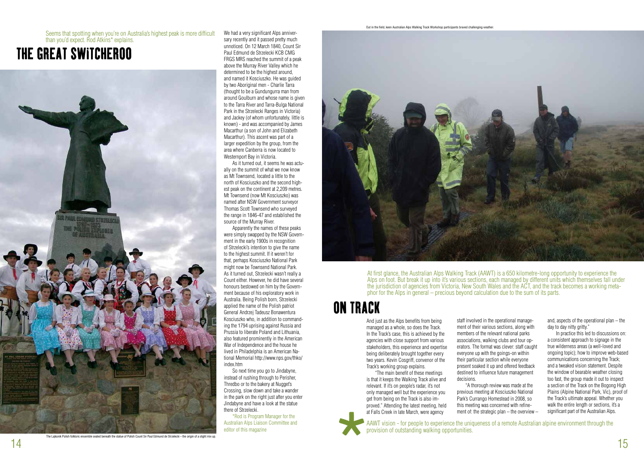And just as the Alps benefits from being managed as a whole, so does the Track. In the Track's case, this is achieved by the agencies with close support from various stakeholders, this experience and expertise being deliberately brought together every two years. Kevin Cosgriff, convenor of the Track's working group explains.

 "The main benefit of these meetings is that it keeps the Walking Track alive and relevant. If it's on people's radar, it's not only managed well but the experience you get from being on the Track is also improved." Attending the latest meeting, held at Falls Creek in late March, were agency

and, aspects of the operational plan – the day to day nitty gritty."

staff involved in the operational management of their various sections, along with members of the relevant national parks associations, walking clubs and tour operators. The format was clever: staff caught everyone up with the goings-on within their particular section while everyone present soaked it up and offered feedback destined to influence future management

decisions. "A thorough review was made at the previous meeting at Kosciuszko National Park's Currango Homestead in 2008, so this meeting was concerned with refinement of: the strategic plan – the overview –

 In practice this led to discussions on: a consistent approach to signage in the true wilderness areas (a well-loved and ongoing topic); how to improve web-based communications concerning the Track; and a tweaked vision statement. Despite the window of bearable weather closing too fast, the group made it out to inspect a section of the Track on the Bogong High Plains (Alpine National Park, Vic), proof of the Track's ultimate appeal. Whether you walk the entire length or sections, it's a significant part of the Australian Alps.

## ON TRACK

At first glance, the Australian Alps Walking Track (AAWT) is a 650 kilometre-long opportunity to experience the Alps on foot. But break it up into it's various sections, each managed by different units which themselves fall under the jurisdiction of agencies from Victoria, New South Wales and the ACT, and the track becomes a working metaphor for the Alps in general – precious beyond calculation due to the sum of its parts.

AAWT vision - for people to experience the uniqueness of a remote Australian alpine environment through the at rans creek in late match, were agency<br>AAWT vision - for people to experience the unit<br>provision of outstanding walking opportunities.

We had a very significant Alps anniversary recently and it passed pretty much unnoticed. On 12 March 1840, Count Sir Paul Edmund de Strzelecki KCB CMG FRGS MRS reached the summit of a peak above the Murray River Valley which he determined to be the highest around, and named it Kosciuszko. He was guided by two Aboriginal men - Charlie Tarra (thought to be a Gundungurra man from around Goulburn and whose name is given to the Tarra River and Tarra-Bulga National Park in the Strzelecki Ranges in Victoria) and Jackey (of whom unfortunately, little is known) - and was accompanied by James Macarthur (a son of John and Elizabeth Macarthur). This ascent was part of a larger expedition by the group, from the area where Canberra is now located to Westernport Bay in Victoria.

As it turned out, it seems he was actually on the summit of what we now know as Mt Townsend, located a little to the north of Kosciuszko and the second highest peak on the continent at 2,209 metres. Mt Townsend (now Mt Kosciuszko) was named after NSW Government surveyor Thomas Scott Townsend who surveyed the range in 1846-47 and established the source of the Murray River.

 Apparently the names of these peaks were simply swapped by the NSW Government in the early 1900s in recognition of Strzelecki's intention to give the name to the highest summit. If it weren't for that, perhaps Kosciuszko National Park might now be Townsend National Park. As it turned out, Strzelecki wasn't really a Count either. However, he did have several honours bestowed on him by the Government because of his exploratory work in Australia. Being Polish born, Strzelecki applied the name of the Polish patriot General Andrzej Tadeusz Bonawentura Kosciuszko who, in addition to commanding the 1794 uprising against Russia and Prussia to liberate Poland and Lithuania, also featured prominently in the American War of Independence and the house he lived in Philadelphia is an American National Memorial http://www.nps.gov/thko/ index.htm

So next time you go to Jindabyne, instead of rushing through to Perisher, Thredbo or to the bakery at Nugget's Crossing, slow down and take a wander in the park on the right just after you enter Jindabyne and have a look at the statue there of Strzelecki.

\*Rod is Program Manager for the Australian Alps Liaison Committee and editor of this magazine



## THE GREAT SWITCHEROO



Seems that spotting when you're on Australia's highest peak is more difficult than you'd expect. Rod Atkins\* explains.

Out in the field, keen Australian Alps Walking Track Workshop participants braved challenging weather.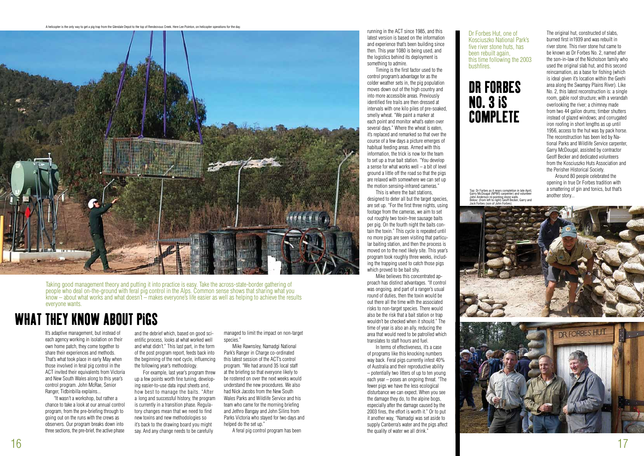It's adaptive management, but instead of each agency working in isolation on their own home patch, they come together to share their experiences and methods. That's what took place in early May when those involved in feral pig control in the ACT invited their equivalents from Victoria and New South Wales along to this year's control program. John McRae, Senior Ranger, Tidbinbilla explains...

 "It wasn't a workshop, but rather a chance to take a look at our annual control program, from the pre-briefing through to going out on the runs with the crews as observers. Our program breaks down into three sections, the pre-brief, the active phase

and the debrief which, based on good scientific process, looks at what worked well and what didn't." This last part, in the form of the post program report, feeds back into the beginning of the next cycle, influencing the following year's methodology.

 For example, last year's program threw up a few points worth fine tuning, developing easier-to-use data input sheets and, how best to manage the baits. "After a long and successful history, the program is currently in a transition phase. Regulatory changes mean that we need to find new toxins and new methodologies so it's back to the drawing board you might say. And any change needs to be carefully

managed to limit the impact on non-target species."

 This is where the bait stations, designed to deter all but the target species. are set up. "For the first three nights, using footage from the cameras, we aim to set out roughly two toxin-free sausage baits per pig. On the fourth night the baits contain the toxin." This cycle is repeated until no more pigs are seen visiting that particular baiting station, and then the process is moved on to the next likely site. This year's program took roughly three weeks, including the trapping used to catch those pigs which proved to be bait shy.

 Mike Rawnsley, Namadgi National Park's Ranger in Charge co-ordinated this latest session of the ACT's control program. "We had around 35 local staff at the briefing so that everyone likely to be rostered on over the next weeks would understand the new procedures. We also had Nick Jacobs from the New South Wales Parks and Wildlife Service and his team who came for the morning briefing and Jethro Bangay and John Silins from Parks Victoria who stayed for two days and helped do the set up."

A feral pig control program has been

running in the ACT since 1985, and this latest version is based on the information and experience that's been building since then. This year 1080 is being used, and the logistics behind its deployment is something to admire.

 Timing is the first factor used to the control program's advantage for as the colder weather sets in, the pig population moves down out of the high country and into more accessible areas. Previously identified fire trails are then dressed at intervals with one kilo piles of pre-soaked, smelly wheat. "We paint a marker at each point and monitor what's eaten over several days." Where the wheat is eaten, it's replaced and remarked so that over the course of a few days a picture emerges of habitual feeding areas. Armed with this information, the trick is now for the team to set up a true bait station. "You develop a sense for what works well  $-$  a bit of level ground a little off the road so that the pigs are relaxed with somewhere we can set up the motion sensing-infrared cameras."

## DR FORBES NO. 3 IS **COMPLETE**

 Mike believes this concentrated approach has distinct advantages. "If control was ongoing, and part of a ranger's usual round of duties, then the toxin would be out there all the time with the associated risks to non-target species. There would also be the risk that a bait station or trap wouldn't be checked when it should." The time of year is also an ally, reducing the area that would need to be patrolled which translates to staff hours and fuel.

 In terms of effectiveness, it's a case of programs like this knocking numbers way back. Feral pigs currently infest 40% of Australia and their reproductive ability – potentially two litters of up to ten young each year – poses an ongoing threat. "The fewer pigs we have the less ecological disturbance we can expect. When you see the damage they do, to the alpine bogs, especially after the damage caused by the 2003 fires, the effort is worth it." Or to put it another way, "Namadgi was set aside to supply Canberra's water and the pigs affect the quality of water we all drink."

Taking good management theory and putting it into practice is easy. Take the across-state-border gathering of people who deal on-the-ground with feral pig control in the Alps. Common sense shows that sharing what you know – about what works and what doesn't – makes everyone's life easier as well as helping to achieve the results everyone wants.

## WHAT THEY KNOW ABOUT PIGS

The original hut, constructed of slabs, burned first in1939 and was rebuilt in river stone. This river stone hut came to be known as Dr Forbes No. 2, named after the son-in-law of the Nicholson family who used the original slab hut, and this second reincarnation, as a base for fishing (which is ideal given it's location within the Geehi area along the Swampy Plains River). Like No. 2, this latest reconstruction is: a single room, gable roof structure; with a verandah overlooking the river; a chimney made from two 44 gallon drums; timber shutters instead of glazed windows; and corrugated iron roofing in short lengths as up until 1956, access to the hut was by pack horse. The reconstruction has been led by National Parks and Wildlife Service carpenter, Garry McDougal, assisted by contractor Geoff Becker and dedicated volunteers from the Kosciuszko Huts Association and the Perisher Historical Society.

 Around 80 people celebrated the opening in true Dr Forbes tradition with a smattering of gin and tonics, but that's another story...



Dr Forbes Hut, one of Kosciuszko National Park's five river stone huts, has been rebuilt again, this time following the 2003

# bushfires.

A helicopter is the only way to get a pig trap from the Glendale Depot to the top of Rendezvous Creek. Here Lee Pointon, on helicopter operations for the day.



Top: Dr Forbes as it nears completion in late April, Garry McDougal (NPWS carpenter) and volunteer John Anderson re-pointing stone walls bom Anderson to poming stone walls.<br>Relow: (from left to right) Geoff Becker, Garry and Jock Forbes (son of John Forbes).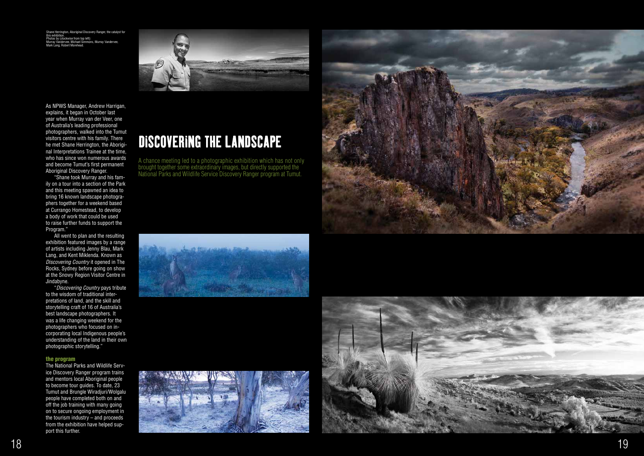As NPWS Manager, Andrew Harrigan, explains, it began in October last year when Murray van der Veer, one of Australia's leading professional photographers, walked into the Tumut visitors centre with his family. There he met Shane Herrington, the Aboriginal Interpretations Trainee at the time, who has since won numerous awards and become Tumut's first permanent Aboriginal Discovery Ranger.

 "Shane took Murray and his family on a tour into a section of the Park and this meeting spawned an idea to bring 16 known landscape photographers together for a weekend based at Currango Homestead, to develop a body of work that could be used to raise further funds to support the Program."

 All went to plan and the resulting exhibition featured images by a range of artists including Jenny Blau, Mark Lang, and Kent Miklenda. Known as *Discovering Country* it opened in The Rocks, Sydney before going on show at the Snowy Region Visitor Centre in Jindabyne.

igton, Aboriginal Discovery Ranger, the catalyst for this exhibition. Photos by (clockwise from top left): Murray Vandervee, Michael Simmons, Murray Vandervee, Mark Lang, Robert Morehead.



 "*Discovering Country* pays tribute to the wisdom of traditional interpretations of land, and the skill and storytelling craft of 16 of Australia's best landscape photographers. It was a life changing weekend for the photographers who focused on incorporating local Indigenous people's understanding of the land in their own photographic storytelling."

#### the program

The National Parks and Wildlife Service Discovery Ranger program trains and mentors local Aboriginal people to become tour guides. To date, 23 Tumut and Brungle Wiradjuri/Wolgalu people have completed both on and off the job training with many going on to secure ongoing employment in the tourism industry – and proceeds from the exhibition have helped support this further.

A chance meeting led to a photographic exhibition which has not only brought together some extraordinary images, but directly supported the National Parks and Wildlife Service Discovery Ranger program at Tumut.









## DISCOVERING THE LANDSCAPE